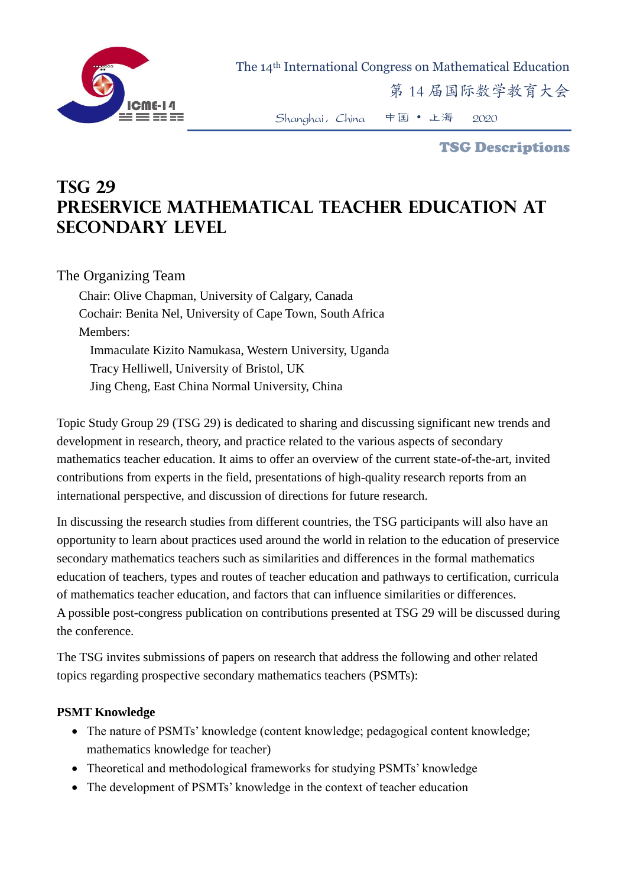

The 14th International Congress on Mathematical Education

第 14 届国际数学教育大会

Shanghai,China 中国 • 上海 2020

TSG Descriptions

# **TSG 29 Preservice mathematical teacher education at secondary level**

## The Organizing Team

Chair: Olive Chapman, University of Calgary, Canada Cochair: Benita Nel, University of Cape Town, South Africa Members: Immaculate Kizito Namukasa, Western University, Uganda Tracy Helliwell, University of Bristol, UK Jing Cheng, East China Normal University, China

Topic Study Group 29 (TSG 29) is dedicated to sharing and discussing significant new trends and development in research, theory, and practice related to the various aspects of secondary mathematics teacher education. It aims to offer an overview of the current state-of-the-art, invited contributions from experts in the field, presentations of high-quality research reports from an international perspective, and discussion of directions for future research.

In discussing the research studies from different countries, the TSG participants will also have an opportunity to learn about practices used around the world in relation to the education of preservice secondary mathematics teachers such as similarities and differences in the formal mathematics education of teachers, types and routes of teacher education and pathways to certification, curricula of mathematics teacher education, and factors that can influence similarities or differences. A possible post-congress publication on contributions presented at TSG 29 will be discussed during the conference.

The TSG invites submissions of papers on research that address the following and other related topics regarding prospective secondary mathematics teachers (PSMTs):

### **PSMT Knowledge**

- The nature of PSMTs' knowledge (content knowledge; pedagogical content knowledge; mathematics knowledge for teacher)
- Theoretical and methodological frameworks for studying PSMTs' knowledge
- The development of PSMTs' knowledge in the context of teacher education